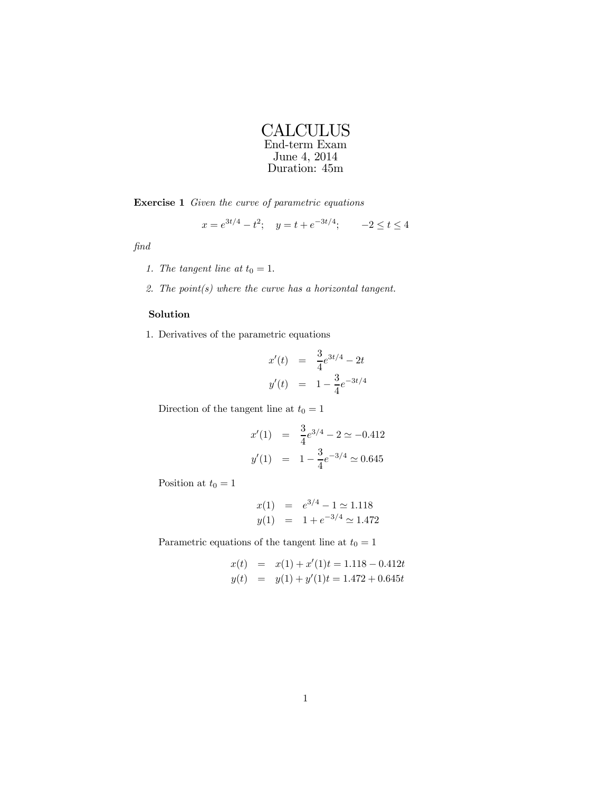

Exercise 1 Given the curve of parametric equations

$$
x = e^{3t/4} - t^2
$$
;  $y = t + e^{-3t/4}$ ;  $-2 \le t \le 4$ 

find

- 1. The tangent line at  $t_0 = 1$ .
- 2. The point $(s)$  where the curve has a horizontal tangent.

## Solution

1. Derivatives of the parametric equations

$$
x'(t) = \frac{3}{4}e^{3t/4} - 2t
$$
  

$$
y'(t) = 1 - \frac{3}{4}e^{-3t/4}
$$

Direction of the tangent line at  $t_0 = 1$ 

$$
x'(1) = \frac{3}{4}e^{3/4} - 2 \simeq -0.412
$$
  

$$
y'(1) = 1 - \frac{3}{4}e^{-3/4} \simeq 0.645
$$

Position at  $t_0 = 1$ 

$$
x(1) = e^{3/4} - 1 \approx 1.118
$$
  

$$
y(1) = 1 + e^{-3/4} \approx 1.472
$$

Parametric equations of the tangent line at  $t_0 = 1$ 

$$
x(t) = x(1) + x'(1)t = 1.118 - 0.412t
$$
  

$$
y(t) = y(1) + y'(1)t = 1.472 + 0.645t
$$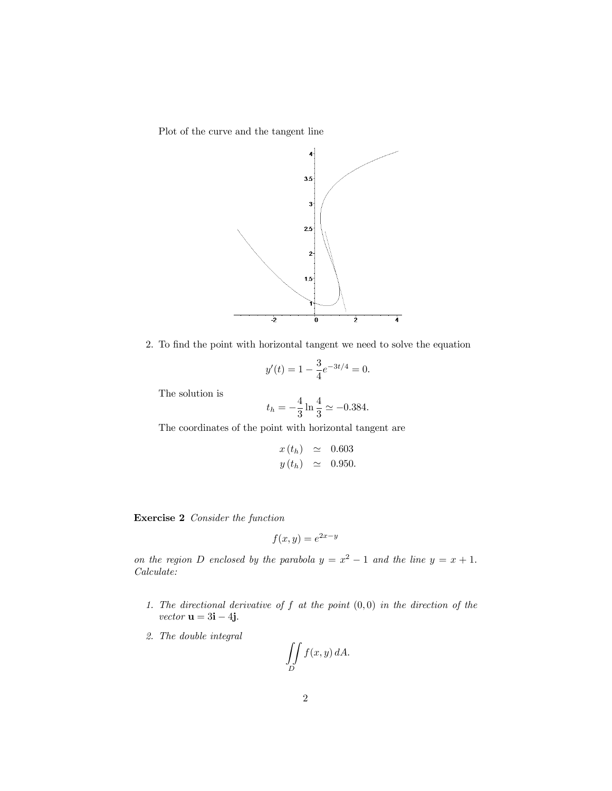Plot of the curve and the tangent line



2. To find the point with horizontal tangent we need to solve the equation

$$
y'(t) = 1 - \frac{3}{4}e^{-3t/4} = 0.
$$

The solution is

$$
t_h = -\frac{4}{3} \ln \frac{4}{3} \simeq -0.384.
$$

The coordinates of the point with horizontal tangent are

$$
x(t_h) \simeq 0.603
$$
  

$$
y(t_h) \simeq 0.950.
$$

Exercise 2 Consider the function

$$
f(x, y) = e^{2x - y}
$$

on the region D enclosed by the parabola  $y = x^2 - 1$  and the line  $y = x + 1$ . Calculate:

- 1. The directional derivative of  $f$  at the point  $(0, 0)$  in the direction of the vector  $\mathbf{u} = 3\mathbf{i} - 4\mathbf{j}$ .
- 2. The double integral

$$
\iint\limits_{D} f(x, y) \, dA.
$$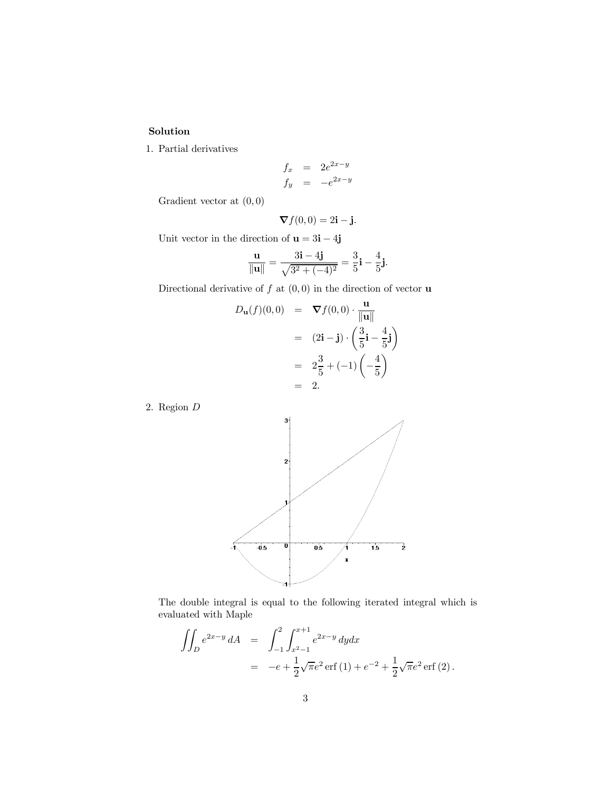## Solution

1. Partial derivatives

$$
\begin{array}{rcl}\nf_x & = & 2e^{2x-y} \\
f_y & = & -e^{2x-y}\n\end{array}
$$

Gradient vector at  $(0,0)$ 

$$
\nabla f(0,0) = 2\mathbf{i} - \mathbf{j}.
$$

Unit vector in the direction of  $\mathbf{u} = 3\mathbf{i} - 4\mathbf{j}$ 

$$
\frac{\mathbf{u}}{\|\mathbf{u}\|} = \frac{3\mathbf{i} - 4\mathbf{j}}{\sqrt{3^2 + (-4)^2}} = \frac{3}{5}\mathbf{i} - \frac{4}{5}\mathbf{j}.
$$

Directional derivative of  $f$  at  $(0,0)$  in the direction of vector **u** 

$$
D_{\mathbf{u}}(f)(0,0) = \nabla f(0,0) \cdot \frac{\mathbf{u}}{\|\mathbf{u}\|}
$$
  
\n
$$
= (2\mathbf{i} - \mathbf{j}) \cdot \left(\frac{3}{5}\mathbf{i} - \frac{4}{5}\mathbf{j}\right)
$$
  
\n
$$
= 2\frac{3}{5} + (-1)\left(-\frac{4}{5}\right)
$$
  
\n
$$
= 2.
$$

2. Region D



The double integral is equal to the following iterated integral which is evaluated with Maple

$$
\iint_D e^{2x-y} dA = \int_{-1}^2 \int_{x^2-1}^{x+1} e^{2x-y} dy dx
$$
  
=  $-e + \frac{1}{2} \sqrt{\pi} e^2 \operatorname{erf}(1) + e^{-2} + \frac{1}{2} \sqrt{\pi} e^2 \operatorname{erf}(2).$